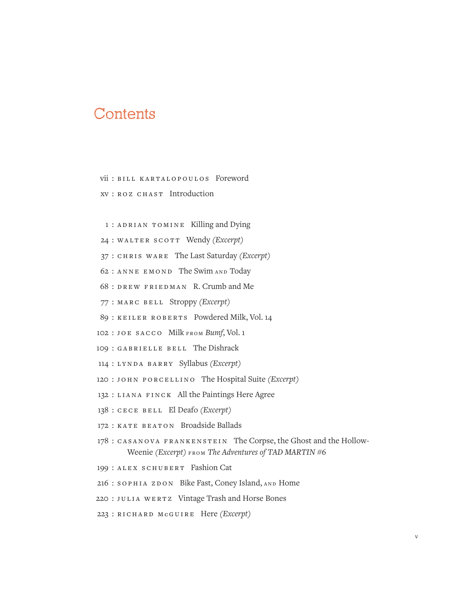## Contents

vii : BILL KARTALOPOULOS Foreword xv : R oz C h ast Introduction

1 : ADRIAN TOMINE Killing and Dying

24 : WALTER SCOTT Wendy *(Excerpt)* 

37 : C h ris Ware The Last Saturday *(Excerpt)*

62 : A nne Emond The Swim and Today

68 : D r e w Friedman R. Crumb and Me

77 : Ma r c Be ll Stroppy *(Excerpt)*

89 : KEILER ROBERTS Powdered Milk, Vol. 14

102 : Joe S a cc o Milk from *Bumf*, Vol. 1

109 : GABRIELLE BELL The Dishrack

114 : Lynda Barry Syllabus *(Excerpt)*

120 : J o h n Por c e ll ino The Hospital Suite *(Excerpt)*

132 : LIANA FINCK All the Paintings Here Agree

138 : C e c e Be ll El Deafo *(Excerpt)*

172 : KATE BEATON Broadside Ballads

178 : Casanova Frankenstein The Corpse, the Ghost and the Hollow-Weenie *(Excerpt)* from *The Adventures of TAD MARTIN* #6

199 : ALEX SCHUBERT Fashion Cat

216 : SOPHIA ZDON Bike Fast, Coney Island, AND Home

220 : JULIA WERTZ Vintage Trash and Horse Bones

223 : R i ch ard M**c** Guire Here *(Excerpt)*